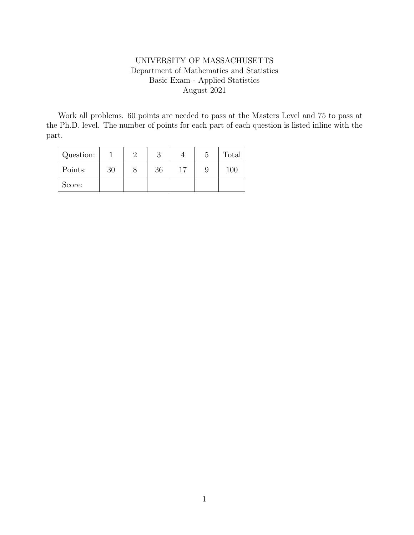## UNIVERSITY OF MASSACHUSETTS Department of Mathematics and Statistics Basic Exam - Applied Statistics August 2021

Work all problems. 60 points are needed to pass at the Masters Level and 75 to pass at the Ph.D. level. The number of points for each part of each question is listed inline with the part.

| Question: |    |    |    | Total |
|-----------|----|----|----|-------|
| Points:   | 30 | 36 | 17 |       |
| Score:    |    |    |    |       |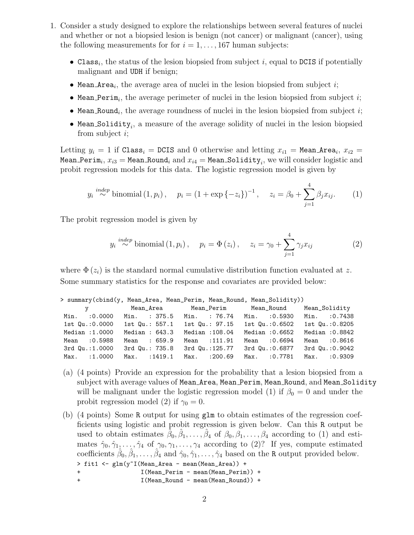- 1. Consider a study designed to explore the relationships between several features of nuclei and whether or not a biopsied lesion is benign (not cancer) or malignant (cancer), using the following measurements for for  $i = 1, \ldots, 167$  human subjects:
	- Class<sub>i</sub>, the status of the lesion biopsied from subject i, equal to DCIS if potentially malignant and UDH if benign;
	- Mean Area<sub>i</sub>, the average area of nuclei in the lesion biopsied from subject  $i$ ;
	- Mean\_Perim<sub>i</sub>, the average perimeter of nuclei in the lesion biopsied from subject  $i$ ;
	- Mean\_Round<sub>i</sub>, the average roundness of nuclei in the lesion biopsied from subject  $i$ ;
	- $\bullet$  Mean\_Solidity<sub>i</sub>, a measure of the average solidity of nuclei in the lesion biopsied from subject i;

Letting  $y_i = 1$  if Class<sub>i</sub> = DCIS and 0 otherwise and letting  $x_{i1}$  = Mean Area<sub>i</sub>,  $x_{i2}$  =  $\texttt{Mean\_Perim}_i, x_{i3} = \texttt{Mean\_Round}_i \text{ and } x_{i4} = \texttt{Mean\_Solidity}_i, \text{ we will consider logistic and }$ probit regression models for this data. The logistic regression model is given by

$$
y_i \stackrel{indep}{\sim} \text{binomial}(1, p_i), \quad p_i = (1 + \exp\{-z_i\})^{-1}, \quad z_i = \beta_0 + \sum_{j=1}^4 \beta_j x_{ij}.
$$
 (1)

The probit regression model is given by

$$
y_i \stackrel{indep}{\sim} \text{binomial}(1, p_i), \quad p_i = \Phi(z_i), \quad z_i = \gamma_0 + \sum_{j=1}^4 \gamma_j x_{ij}
$$
 (2)

where  $\Phi(z_i)$  is the standard normal cumulative distribution function evaluated at z. Some summary statistics for the response and covariates are provided below:

| > summary(cbind(y, Mean_Area, Mean_Perim, Mean_Round, Mean_Solidity)) |                               |                |                                         |                 |
|-----------------------------------------------------------------------|-------------------------------|----------------|-----------------------------------------|-----------------|
| $\mathbf y$                                                           |                               |                | Mean_Area     Mean_Perim     Mean_Round | Mean_Solidity   |
| Min. : 0.0000 Min. : 375.5 Min. : 76.74                               |                               |                | Min. : 0.5930                           | Min. : 0.7438   |
| 1st Qu.:0.0000                                                        | 1st Qu.: 557.1                | 1st Qu.: 97.15 | 1st Qu.: 0.6502                         | 1st Qu.:0.8205  |
| Median :1.0000                                                        | Median : 643.3                | Median :108.04 | Median : 0.6652                         | Median : 0.8842 |
| Mean : 0.5988                                                         | Mean : 659.9                  | Mean : 111.91  | Mean : 0.6694                           | Mean : 0.8616   |
| 3rd Qu.:1.0000                                                        | 3rd Qu.: 735.8 3rd Qu.:125.77 |                | 3rd Qu.:0.6877                          | 3rd Qu.: 0.9042 |
| Max. : 1.0000                                                         | Max. : 1419.1                 | Max. : 200.69  | Max. : 0.7781                           | Max. : 0.9309   |

- (a) (4 points) Provide an expression for the probability that a lesion biopsied from a subject with average values of Mean Area, Mean Perim, Mean Round, and Mean Solidity will be malignant under the logistic regression model (1) if  $\beta_0 = 0$  and under the probit regression model (2) if  $\gamma_0 = 0$ .
- (b) (4 points) Some R output for using glm to obtain estimates of the regression coefficients using logistic and probit regression is given below. Can this R output be used to obtain estimates  $\tilde{\beta}_0, \hat{\beta}_1, \ldots, \hat{\beta}_4$  of  $\beta_0, \beta_1, \ldots, \beta_4$  according to (1) and estimates  $\hat{\gamma}_0, \hat{\gamma}_1, \dots, \hat{\gamma}_4$  of  $\gamma_0, \gamma_1, \dots, \gamma_4$  according to (2)? If yes, compute estimated coefficients  $\hat{\beta}_0, \hat{\beta}_1, \ldots, \hat{\beta}_4$  and  $\hat{\gamma}_0, \hat{\gamma}_1, \ldots, \hat{\gamma}_4$  based on the R output provided below. > fit1 <- glm(y~I(Mean\_Area - mean(Mean\_Area)) + + I(Mean\_Perim - mean(Mean\_Perim)) + + I(Mean\_Round - mean(Mean\_Round)) +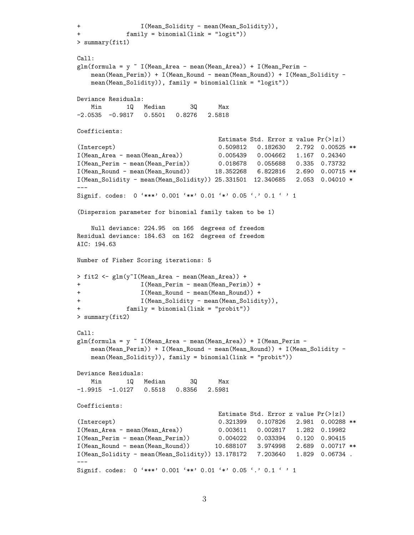```
+ I(Mean_Solidity - mean(Mean_Solidity)),
+ family = binomial(link = "logit"))
> summary(fit1)
Call:
glm(formula = y " I(Mean_Area - mean(Mean_Area)) + I(Mean_Perim -mean(Mean_Perim)) + I(Mean_Round - mean(Mean_Round)) + I(Mean_Solidity -
   mean(Mean_Solidity)), family = binomial(link = "logit"))
Deviance Residuals:
   Min 1Q Median 3Q Max
-2.0535 -0.9817 0.5501 0.8276 2.5818
Coefficients:
                                   Estimate Std. Error z value Pr(>|z|)
(Intercept) 0.509812 0.182630 2.792 0.00525 **
I(Mean_Area - mean(Mean_Area)) 0.005439 0.004662 1.167 0.24340
I(Mean_Perim - mean(Mean_Perim)) 0.018678 0.055688 0.335 0.73732
I(Mean_Round - mean(Mean_Round)) 18.352268 6.822816 2.690 0.00715 **
I(Mean_Solidity - mean(Mean_Solidity)) 25.331501 12.340685 2.053 0.04010 *
---
Signif. codes: 0 '***' 0.001 '**' 0.01 '*' 0.05 '.' 0.1 ' ' 1
(Dispersion parameter for binomial family taken to be 1)
   Null deviance: 224.95 on 166 degrees of freedom
Residual deviance: 184.63 on 162 degrees of freedom
AIC: 194.63
Number of Fisher Scoring iterations: 5
> fit2 <- glm(y~I(Mean_Area - mean(Mean_Area)) +
+ I(Mean_Perim - mean(Mean_Perim)) +
+ I(Mean_Round - mean(Mean_Round)) +
+ I(Mean_Solidity - mean(Mean_Solidity)),
+ family = binomial(link = "probit"))
> summary(fit2)
Call:
glm(formula = y " I(Mean_Area - mean(Mean_Area)) + I(Mean_Perim -mean(Mean_Perim)) + I(Mean_Round - mean(Mean_Round)) + I(Mean_Solidity -
   mean(Mean_Solidity)), family = binomial(link = "probit"))
Deviance Residuals:
   Min 1Q Median 3Q Max
-1.9915 -1.0127 0.5518 0.8356 2.5981
Coefficients:
                                   Estimate Std. Error z value Pr(>|z|)
(Intercept) 0.321399 0.107826 2.981 0.00288 **
I(Mean_Area - mean(Mean_Area)) 0.003611 0.002817 1.282 0.19982
I(Mean_Perim - mean(Mean_Perim)) 0.004022 0.033394 0.120 0.90415
I(Mean_Round - mean(Mean_Round)) 10.688107 3.974998 2.689 0.00717 **
I(Mean_Solidity - mean(Mean_Solidity)) 13.178172 7.203640 1.829 0.06734 .
---
Signif. codes: 0 '***' 0.001 '**' 0.01 '*' 0.05 '.' 0.1 ' ' 1
```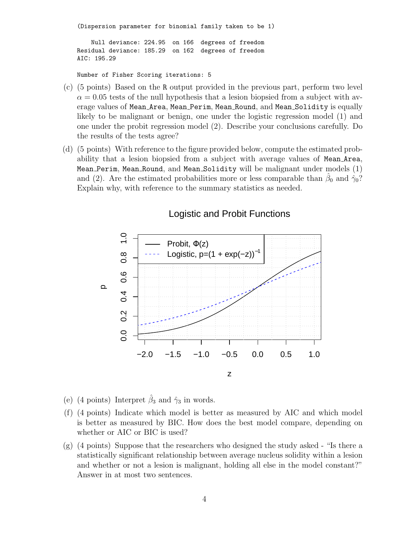(Dispersion parameter for binomial family taken to be 1)

Null deviance: 224.95 on 166 degrees of freedom Residual deviance: 185.29 on 162 degrees of freedom AIC: 195.29

Number of Fisher Scoring iterations: 5

- (c) (5 points) Based on the R output provided in the previous part, perform two level  $\alpha = 0.05$  tests of the null hypothesis that a lesion biopsied from a subject with average values of Mean Area, Mean Perim, Mean Round, and Mean Solidity is equally likely to be malignant or benign, one under the logistic regression model (1) and one under the probit regression model (2). Describe your conclusions carefully. Do the results of the tests agree?
- (d) (5 points) With reference to the figure provided below, compute the estimated probability that a lesion biopsied from a subject with average values of Mean Area, Mean Perim, Mean Round, and Mean Solidity will be malignant under models (1) and (2). Are the estimated probabilities more or less comparable than  $\hat{\beta}_0$  and  $\hat{\gamma}_0$ ? Explain why, with reference to the summary statistics as needed.



## Logistic and Probit Functions

- (e) (4 points) Interpret  $\hat{\beta}_3$  and  $\hat{\gamma}_3$  in words.
- (f) (4 points) Indicate which model is better as measured by AIC and which model is better as measured by BIC. How does the best model compare, depending on whether or AIC or BIC is used?
- (g) (4 points) Suppose that the researchers who designed the study asked "Is there a statistically significant relationship between average nucleus solidity within a lesion and whether or not a lesion is malignant, holding all else in the model constant?" Answer in at most two sentences.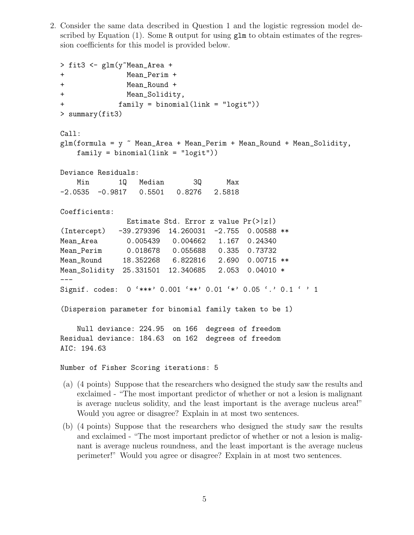2. Consider the same data described in Question 1 and the logistic regression model described by Equation (1). Some R output for using  $g \text{Im}$  to obtain estimates of the regression coefficients for this model is provided below.

```
> fit3 <- glm(y~Mean_Area +
+ Mean_Perim +
+ Mean_Round +
+ Mean_Solidity,
+ family = binomial(link = "logit"))
> summary(fit3)
Call:
glm(formula = y \sim Mean_Area + Mean_Perim + Mean_Round + Mean_Solidity,
   family = binomial(link = "logit"))Deviance Residuals:
   Min 1Q Median 3Q Max
-2.0535 -0.9817 0.5501 0.8276 2.5818
Coefficients:
              Estimate Std. Error z value Pr(>|z|)
(Intercept) -39.279396 14.260031 -2.755 0.00588 **
Mean_Area 0.005439 0.004662 1.167 0.24340
Mean_Perim 0.018678 0.055688 0.335 0.73732
Mean_Round 18.352268 6.822816 2.690 0.00715 **
Mean_Solidity 25.331501 12.340685 2.053 0.04010 *
---
Signif. codes: 0 '***' 0.001 '**' 0.01 '*' 0.05 '.' 0.1 ' ' 1
(Dispersion parameter for binomial family taken to be 1)
   Null deviance: 224.95 on 166 degrees of freedom
Residual deviance: 184.63 on 162 degrees of freedom
AIC: 194.63
```
Number of Fisher Scoring iterations: 5

- (a) (4 points) Suppose that the researchers who designed the study saw the results and exclaimed - "The most important predictor of whether or not a lesion is malignant is average nucleus solidity, and the least important is the average nucleus area!" Would you agree or disagree? Explain in at most two sentences.
- (b) (4 points) Suppose that the researchers who designed the study saw the results and exclaimed - "The most important predictor of whether or not a lesion is malignant is average nucleus roundness, and the least important is the average nucleus perimeter!" Would you agree or disagree? Explain in at most two sentences.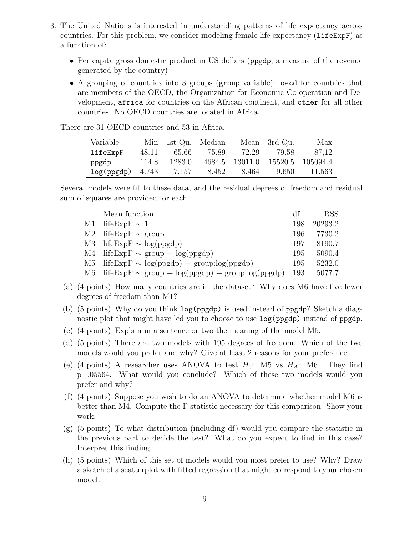- 3. The United Nations is interested in understanding patterns of life expectancy across countries. For this problem, we consider modeling female life expectancy (lifeExpF) as a function of:
	- Per capita gross domestic product in US dollars (ppgdp, a measure of the revenue generated by the country)
	- A grouping of countries into 3 groups (group variable): oecd for countries that are members of the OECD, the Organization for Economic Co-operation and Development, africa for countries on the African continent, and other for all other countries. No OECD countries are located in Africa.

| Variable                 |       | Min 1st Qu. Median |       |       | Mean 3rd Qu. | Max                             |
|--------------------------|-------|--------------------|-------|-------|--------------|---------------------------------|
| lifeExpF                 | 48.11 | - 65.66            | 75.89 |       | 72.29 79.58  | 87.12                           |
| ppgdp                    | 114.8 | 1283.0             |       |       |              | 4684.5 13011.0 15520.5 105094.4 |
| $log(ppgdp)$ 4.743 7.157 |       |                    | 8.452 | 8.464 | -9.650-      | -11.563                         |

There are 31 OECD countries and 53 in Africa.

Several models were fit to these data, and the residual degrees of freedom and residual sum of squares are provided for each.

|      | Mean function                                         | df  | <b>RSS</b> |
|------|-------------------------------------------------------|-----|------------|
| M1   | lifeExpF $\sim 1$                                     | 198 | 20293.2    |
| M2   | lifeExpF $\sim$ group                                 | 196 | 7730.2     |
| M3   | lifeExpF $\sim$ log(ppgdp)                            | 197 | 8190.7     |
| M4 - | lifeExpF $\sim$ group + log(ppgdp)                    | 195 | 5090.4     |
| M5   | lifeExpF $\sim$ log(ppgdp) + group:log(ppgdp)         | 195 | 5232.0     |
| M6 - | lifeExpF $\sim$ group + log(ppgdp) + group:log(ppgdp) | 193 | 5077.7     |

(a) (4 points) How many countries are in the dataset? Why does M6 have five fewer degrees of freedom than M1?

- (b) (5 points) Why do you think log(ppgdp) is used instead of ppgdp? Sketch a diagnostic plot that might have led you to choose to use log(ppgdp) instead of ppgdp.
- (c) (4 points) Explain in a sentence or two the meaning of the model M5.
- (d) (5 points) There are two models with 195 degrees of freedom. Which of the two models would you prefer and why? Give at least 2 reasons for your preference.
- (e) (4 points) A researcher uses ANOVA to test  $H_0$ : M5 vs  $H_A$ : M6. They find p=.05564. What would you conclude? Which of these two models would you prefer and why?
- (f) (4 points) Suppose you wish to do an ANOVA to determine whether model M6 is better than M4. Compute the F statistic necessary for this comparison. Show your work.
- (g) (5 points) To what distribution (including df) would you compare the statistic in the previous part to decide the test? What do you expect to find in this case? Interpret this finding.
- (h) (5 points) Which of this set of models would you most prefer to use? Why? Draw a sketch of a scatterplot with fitted regression that might correspond to your chosen model.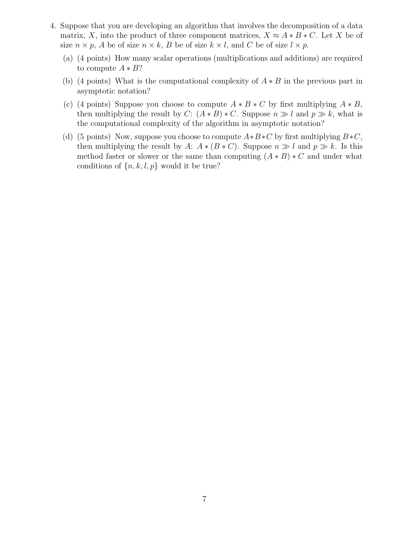- 4. Suppose that you are developing an algorithm that involves the decomposition of a data matrix, X, into the product of three component matrices,  $X \approx A * B * C$ . Let X be of size  $n \times p$ , A be of size  $n \times k$ , B be of size  $k \times l$ , and C be of size  $l \times p$ .
	- (a) (4 points) How many scalar operations (multiplications and additions) are required to compute  $A * B?$
	- (b) (4 points) What is the computational complexity of  $A * B$  in the previous part in asymptotic notation?
	- (c) (4 points) Suppose you choose to compute  $A * B * C$  by first multiplying  $A * B$ , then multiplying the result by C:  $(A * B) * C$ . Suppose  $n \gg l$  and  $p \gg k$ , what is the computational complexity of the algorithm in asymptotic notation?
	- (d) (5 points) Now, suppose you choose to compute  $A*B*C$  by first multiplying  $B*C$ , then multiplying the result by A:  $A * (B * C)$ . Suppose  $n \gg l$  and  $p \gg k$ . Is this method faster or slower or the same than computing  $(A * B) * C$  and under what conditions of  $\{n, k, l, p\}$  would it be true?